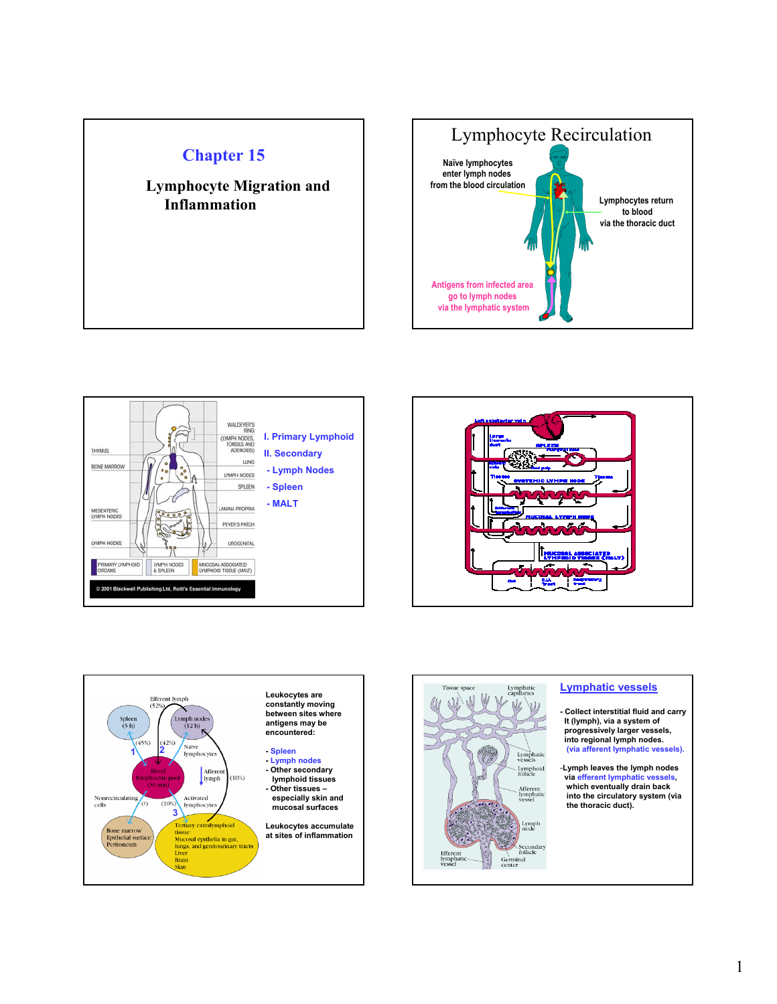











## **Lymphatic vessels**

- **Collect interstitial fluid and carry It (lymph), via a system of progressively larger vessels, into regional lymph nodes. (via afferent lymphatic vessels).**
- -**Lymph leaves the lymph nodes via efferent lymphatic vessels, which eventually drain back into the circulatory system (via the thoracic duct).**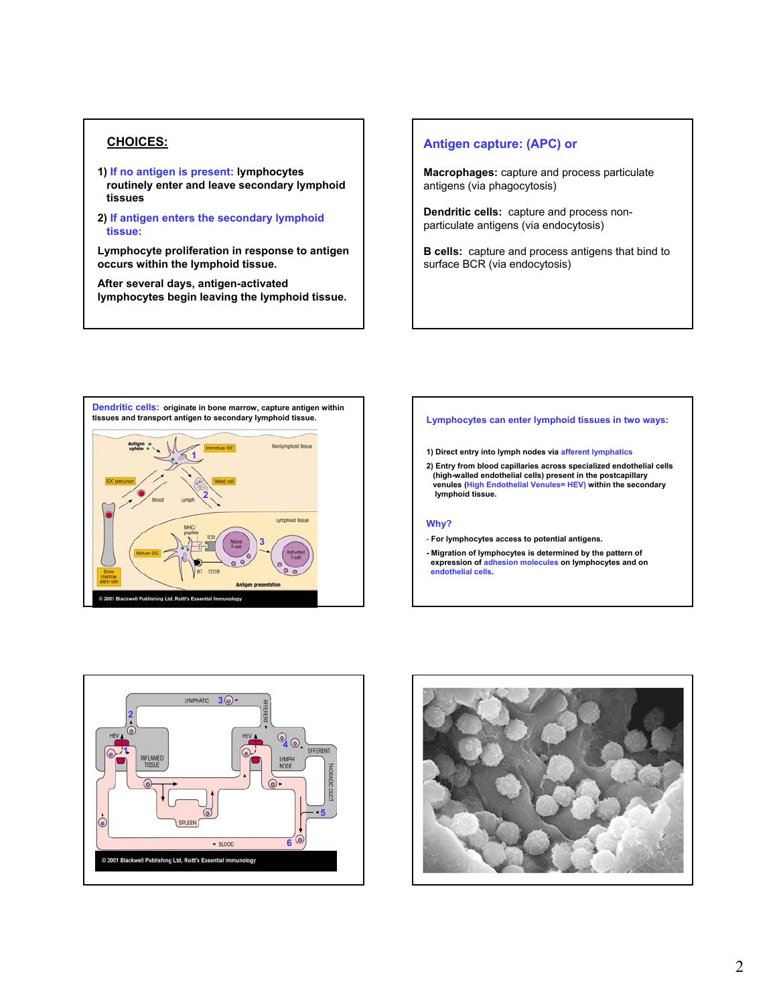- **1) If no antigen is present: lymphocytes routinely enter and leave secondary lymphoid tissues**
- **2) If antigen enters the secondary lymphoid tissue:**

**Lymphocyte proliferation in response to antigen occurs within the lymphoid tissue.**

**After several days, antigen-activated lymphocytes begin leaving the lymphoid tissue.**

## **CHOICES: Antigen capture: (APC) or**

**Macrophages:** capture and process particulate antigens (via phagocytosis)

**Dendritic cells:** capture and process nonparticulate antigens (via endocytosis)

**B cells:** capture and process antigens that bind to surface BCR (via endocytosis)



## **Lymphocytes can enter lymphoid tissues in two ways:**

**1) Direct entry into lymph nodes via afferent lymphatics**

**2) Entry from blood capillaries across specialized endothelial cells (high-walled endothelial cells) present in the postcapillary venules (High Endothelial Venules= HEV) within the secondary lymphoid tissue.**

### **Why?**

- **For lymphocytes access to potential antigens.**
- **Migration of lymphocytes is determined by the pattern of expression of adhesion molecules on lymphocytes and on endothelial cells.**



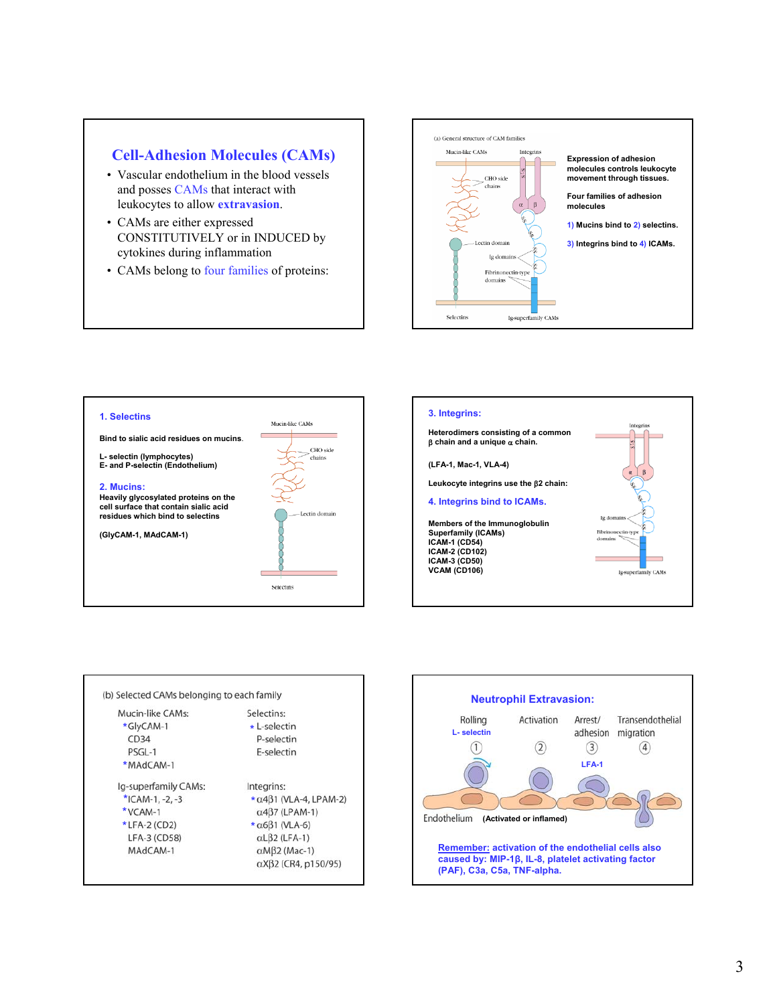## **Cell-Adhesion Molecules (CAMs)**

- Vascular endothelium in the blood vessels and posses CAMs that interact with leukocytes to allow **extravasion**.
- CAMs are either expressed CONSTITUTIVELY or in INDUCED by cytokines during inflammation
- CAMs belong to four families of proteins:







| Mucin-like CAMs:     | Selectins:                                   |
|----------------------|----------------------------------------------|
| *GlyCAM-1            | $\star$ I-selectin                           |
| CD34                 | P-selectin                                   |
| PSGL-1               | E-selectin                                   |
| *MAdCAM-1            |                                              |
| Ig-superfamily CAMs: | Integrins:                                   |
| *ICAM-1, $-2, -3$    | $\star$ $\alpha$ 4 $\beta$ 1 (VLA-4, LPAM-2) |
| *VCAM-1              | $\alpha$ 4 $\beta$ 7 (LPAM-1)                |
| $*$ LFA-2 (CD2)      | $\star$ $\alpha$ 6 $\beta$ 1 (VLA-6)         |
| LFA-3 (CD58)         | $\alpha$ L $\beta$ 2 (LFA-1)                 |
| MAdCAM-1             | $\alpha$ M $\beta$ 2 (Mac-1)                 |
|                      | $\alpha$ X $\beta$ 2 (CR4, p150/95)          |

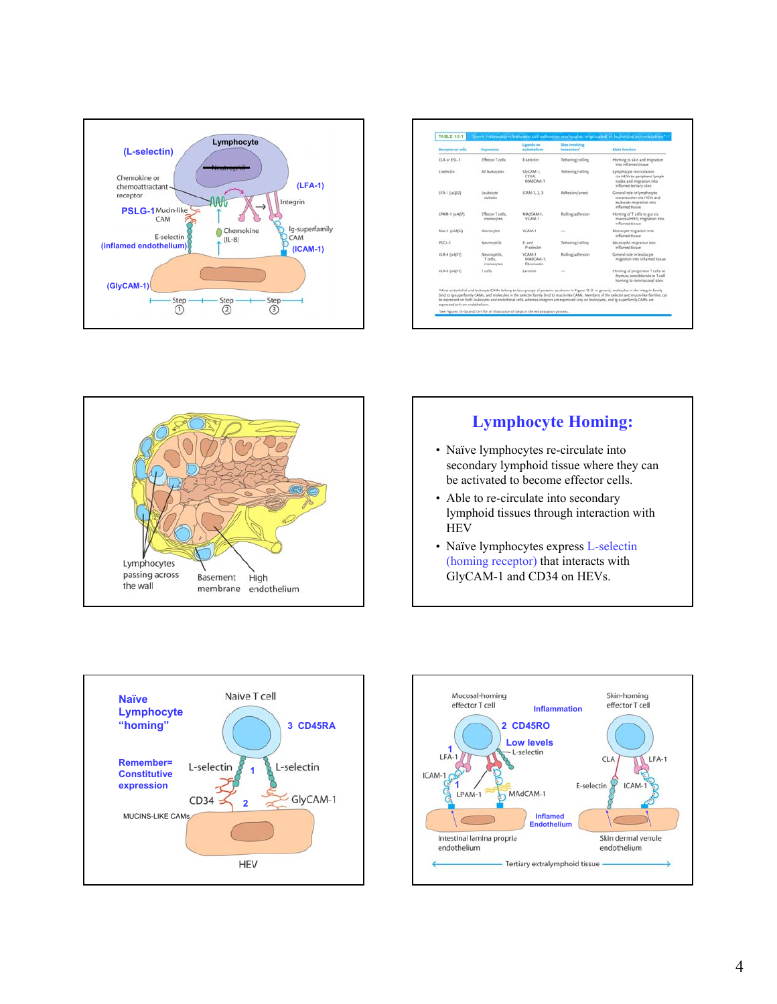

| Receptor on cells              | Expression                            | Ligands on<br>endethelium          | <b>Step involving</b><br>interaction <sup>1</sup> | <b>Main function</b>                                                                                                                                                                                                                                                                                                                                                                                                                     |
|--------------------------------|---------------------------------------|------------------------------------|---------------------------------------------------|------------------------------------------------------------------------------------------------------------------------------------------------------------------------------------------------------------------------------------------------------------------------------------------------------------------------------------------------------------------------------------------------------------------------------------------|
| CLA or ESL-1                   | Effector T cells.                     | E-selective                        | Tethering/rolling                                 | Homing to skin and migration<br>into inflamed tissue                                                                                                                                                                                                                                                                                                                                                                                     |
| L-telectin                     | All leukneytes.                       | ClyCAM-1.<br>CD34.<br>MA/CAM-T     | Tethening/rolling                                 | Lymphocyte recirculation<br>via HEVs to peripheral lymph<br>nodes and migration into<br>inflamed tertiary sites                                                                                                                                                                                                                                                                                                                          |
| LFA-1 (aLB2)                   | Leukocyte<br>subsets                  | ICAM-1, 2, 3                       | <b>Adhesion/arrest</b>                            | Ceneral role in lymphocyte<br>extravasation via HEVs and<br>leukocyte migration into<br>inflamed tissue                                                                                                                                                                                                                                                                                                                                  |
| LPAM-1 (n487)                  | Effector T cells.<br>monocytes        | MAGCAM-1.<br>VCAM-1                | Rolling/adhesion                                  | Homing of T cells to gut via<br>mucosal HEV; migration into<br>inflamed tiesue                                                                                                                                                                                                                                                                                                                                                           |
| Mac-1 (uMB2)                   | Monocytes                             | VCAM-1                             | -                                                 | Monocyte migration into<br>inflamed tissue                                                                                                                                                                                                                                                                                                                                                                                               |
| PSCL-1                         | Neutrophils                           | E-and<br>P-selectin                | Tethering/rolling                                 | Neutrophil migration into<br>inflamed tissue                                                                                                                                                                                                                                                                                                                                                                                             |
| VLA-4 (u-481)                  | Neutrophils,<br>T cells.<br>monocytes | VCAM-1<br>MASCAM-1.<br>fibronectin | Rolling/adhesion                                  | Centeral role in leukocyte<br>migration into inflamed tissue                                                                                                                                                                                                                                                                                                                                                                             |
| VLA-6 (v6B1)                   | T calls                               | Laminin<br>and the co              | $\sim$                                            | Homing of progenitor T cells to<br>thymus; possible role in T-cell.<br>homing to nonmucosal sites                                                                                                                                                                                                                                                                                                                                        |
| expressed only on endothelium. |                                       |                                    |                                                   | *Most endothelial and leukocyte CAMs belong to four groups of proteins as shown in Figure 15-2. In general, molecules in the integrin family<br>bind to ip-superlamily CAMs, and molecules in the selectin family bind to mucin-like CAMs. Members of the selectin and mucin-like families can<br>be expressed on both leukocytes and endothelial cells, whereas integrins are expressed only on leukocytes, and la-superfamily CAMs are |



## **Lymphocyte Homing:**

- Naïve lymphocytes re-circulate into secondary lymphoid tissue where they can be activated to become effector cells.
- Able to re-circulate into secondary lymphoid tissues through interaction with **HEV**
- Naïve lymphocytes express L-selectin (homing receptor) that interacts with GlyCAM-1 and CD34 on HEVs.



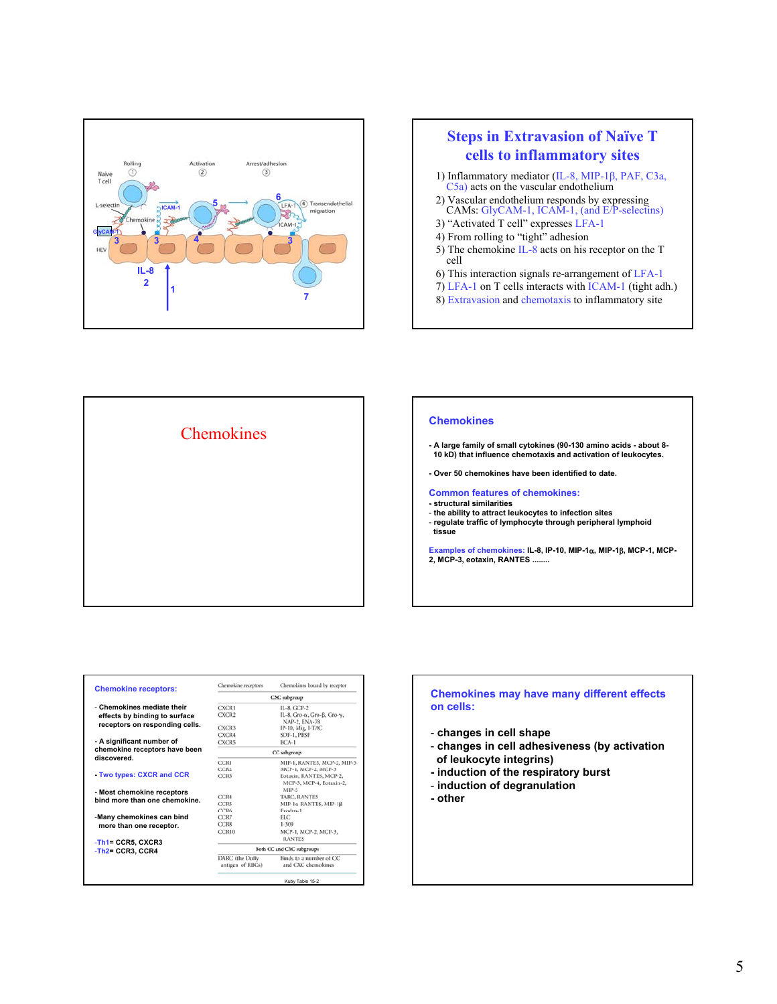

## **Steps in Extravasion of Naïve T cells to inflammatory sites**

- 1) Inflammatory mediator (IL-8, MIP-1β, PAF, C3a, C5a) acts on the vascular endothelium
- 2) Vascular endothelium responds by expressing CAMs: GlyCAM-1, ICAM-1, (and E/P-selectins)
- 3) "Activated T cell" expresses LFA-1
- 4) From rolling to "tight" adhesion
- 5) The chemokine IL-8 acts on his receptor on the T cell
- 6) This interaction signals re-arrangement of LFA-1
- 7) LFA-1 on T cells interacts with ICAM-1 (tight adh.)
- 8) Extravasion and chemotaxis to inflammatory site



| <b>Chemokine receptors:</b>           | Chemokine receptors                 | Chemokines bound by receptor                         |
|---------------------------------------|-------------------------------------|------------------------------------------------------|
|                                       |                                     | CXC subgroup                                         |
| - Chemokines mediate their            | <b>CXCR1</b>                        | IL-8, GCP-2                                          |
| effects by binding to surface         | CXCR2                               | IL-8, Gro- $\alpha$ , Gro-B, Gro-y,<br>NAP-2, ENA-78 |
| receptors on responding cells.        | CXCR3                               | IP-10, Mig, I-TAC                                    |
|                                       | CXCR4                               | SDF-1, PBSF                                          |
| - A significant number of             | <b>CXCR5</b>                        | $BCA-1$                                              |
| chemokine receptors have been         |                                     | CC subgroup                                          |
| discovered                            | <b>CCR1</b>                         | MIP-1, RANTES, MCP-2, MIP-5                          |
|                                       | CCR2                                | MCP-1, MCP-2, MCP-3                                  |
| Two types: CXCR and CCR               | CCR3                                | Eotaxin, RANTES, MCP-2,<br>MCP-3, MCP-4, Eotaxin-2,  |
| - Most chemokine receptors            |                                     | MIP-5                                                |
| bind more than one chemokine.         | CCR4                                | <b>TARC, RANTES</b>                                  |
|                                       | CCR5                                | MIP-1α RANTES, MIP-1β                                |
|                                       | CCR6                                | Exodus-1                                             |
| -Many chemokines can bind             | CCR7                                | ELC:                                                 |
| more than one receptor.               | CCR8                                | 1-309                                                |
|                                       | CCR10                               | МСР-1, МСР-2, МСР-3,<br><b>RANTES</b>                |
| -Th1= CCR5. CXCR3<br>-Th2= CCR3. CCR4 |                                     | Both CC and CXC subgroups                            |
|                                       | DARC (the Duffy<br>antigen of RBCs) | Binds to a number of CC<br>and CXC chemokines        |
|                                       |                                     | Kuby Table 15-2                                      |

## **Chemokines may have many different effects on cells:**

- **changes in cell shape**
- **changes in cell adhesiveness (by activation of leukocyte integrins)**
- **induction of the respiratory burst**
- **induction of degranulation**
- **other**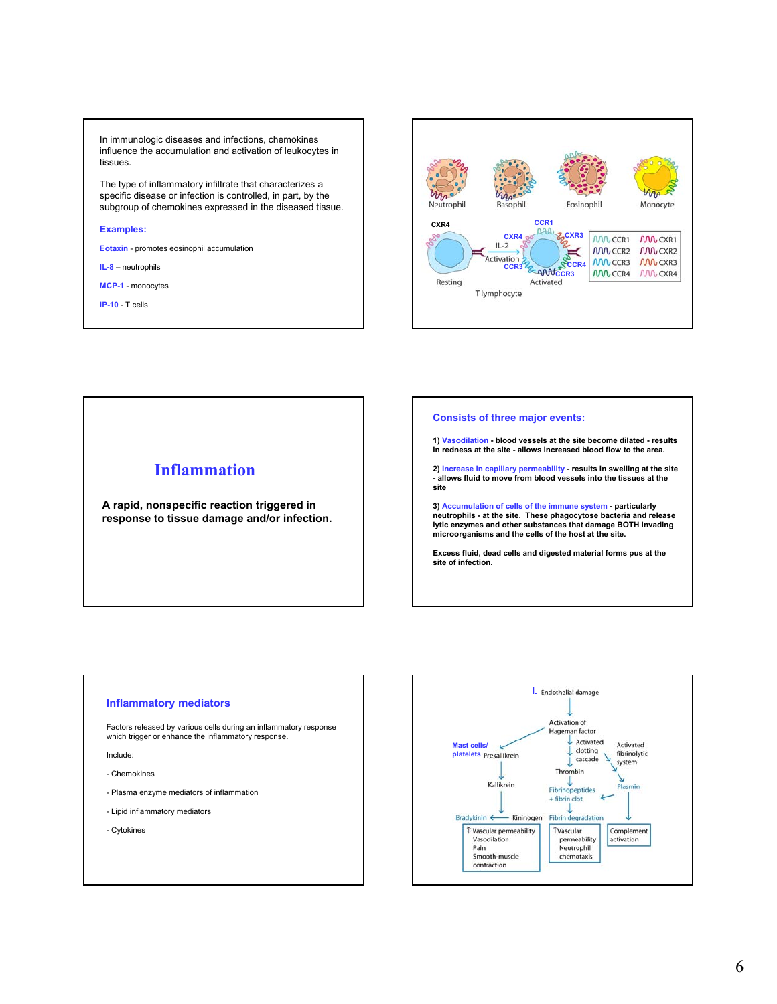In immunologic diseases and infections, chemokines influence the accumulation and activation of leukocytes in tissues.

The type of inflammatory infiltrate that characterizes a specific disease or infection is controlled, in part, by the subgroup of chemokines expressed in the diseased tissue.

#### **Examples:**

**Eotaxin** - promotes eosinophil accumulation

**IL-8** – neutrophils

**MCP-1** - monocytes

**IP-10** - T cells



# **Inflammation A rapid, nonspecific reaction triggered in response to tissue damage and/or infection.**

### **Consists of three major events:**

**1) Vasodilation - blood vessels at the site become dilated - results in redness at the site - allows increased blood flow to the area.**

**2) Increase in capillary permeability - results in swelling at the site - allows fluid to move from blood vessels into the tissues at the site**

**3) Accumulation of cells of the immune system - particularly neutrophils - at the site. These phagocytose bacteria and release lytic enzymes and other substances that damage BOTH invading microorganisms and the cells of the host at the site.**

**Excess fluid, dead cells and digested material forms pus at the site of infection.**

#### **Inflammatory mediators**

Factors released by various cells during an inflammatory response which trigger or enhance the inflammatory response.

Include:

- Chemokines
- Plasma enzyme mediators of inflammation
- Lipid inflammatory mediators
- Cytokines